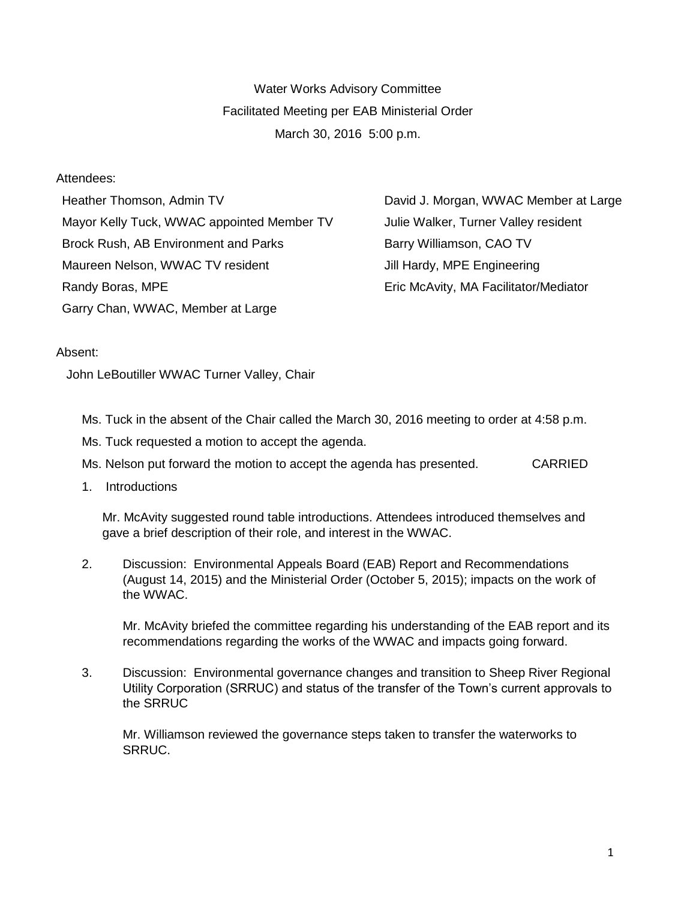Water Works Advisory Committee Facilitated Meeting per EAB Ministerial Order March 30, 2016 5:00 p.m.

## Attendees:

Heather Thomson, Admin TV **David J. Morgan, WWAC Member at Large** Mayor Kelly Tuck, WWAC appointed Member TV Julie Walker, Turner Valley resident Brock Rush, AB Environment and Parks Barry Williamson, CAO TV Maureen Nelson, WWAC TV resident **Jill Hardy, MPE Engineering** Randy Boras, MPE **ERIC MCAVITS** Eric McAvity, MA Facilitator/Mediator Garry Chan, WWAC, Member at Large

## Absent:

John LeBoutiller WWAC Turner Valley, Chair

Ms. Tuck in the absent of the Chair called the March 30, 2016 meeting to order at 4:58 p.m.

Ms. Tuck requested a motion to accept the agenda.

Ms. Nelson put forward the motion to accept the agenda has presented. CARRIED

1. Introductions

Mr. McAvity suggested round table introductions. Attendees introduced themselves and gave a brief description of their role, and interest in the WWAC.

2. Discussion: Environmental Appeals Board (EAB) Report and Recommendations (August 14, 2015) and the Ministerial Order (October 5, 2015); impacts on the work of the WWAC.

Mr. McAvity briefed the committee regarding his understanding of the EAB report and its recommendations regarding the works of the WWAC and impacts going forward.

3. Discussion: Environmental governance changes and transition to Sheep River Regional Utility Corporation (SRRUC) and status of the transfer of the Town's current approvals to the SRRUC

Mr. Williamson reviewed the governance steps taken to transfer the waterworks to SRRUC.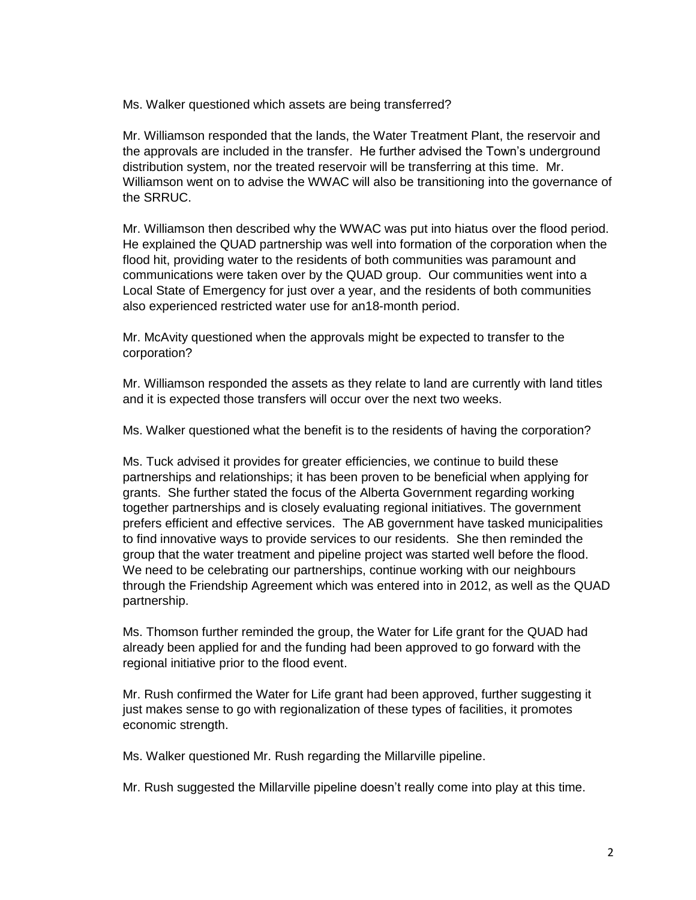Ms. Walker questioned which assets are being transferred?

Mr. Williamson responded that the lands, the Water Treatment Plant, the reservoir and the approvals are included in the transfer. He further advised the Town's underground distribution system, nor the treated reservoir will be transferring at this time. Mr. Williamson went on to advise the WWAC will also be transitioning into the governance of the SRRUC.

Mr. Williamson then described why the WWAC was put into hiatus over the flood period. He explained the QUAD partnership was well into formation of the corporation when the flood hit, providing water to the residents of both communities was paramount and communications were taken over by the QUAD group. Our communities went into a Local State of Emergency for just over a year, and the residents of both communities also experienced restricted water use for an18-month period.

Mr. McAvity questioned when the approvals might be expected to transfer to the corporation?

Mr. Williamson responded the assets as they relate to land are currently with land titles and it is expected those transfers will occur over the next two weeks.

Ms. Walker questioned what the benefit is to the residents of having the corporation?

Ms. Tuck advised it provides for greater efficiencies, we continue to build these partnerships and relationships; it has been proven to be beneficial when applying for grants. She further stated the focus of the Alberta Government regarding working together partnerships and is closely evaluating regional initiatives. The government prefers efficient and effective services. The AB government have tasked municipalities to find innovative ways to provide services to our residents. She then reminded the group that the water treatment and pipeline project was started well before the flood. We need to be celebrating our partnerships, continue working with our neighbours through the Friendship Agreement which was entered into in 2012, as well as the QUAD partnership.

Ms. Thomson further reminded the group, the Water for Life grant for the QUAD had already been applied for and the funding had been approved to go forward with the regional initiative prior to the flood event.

Mr. Rush confirmed the Water for Life grant had been approved, further suggesting it just makes sense to go with regionalization of these types of facilities, it promotes economic strength.

Ms. Walker questioned Mr. Rush regarding the Millarville pipeline.

Mr. Rush suggested the Millarville pipeline doesn't really come into play at this time.